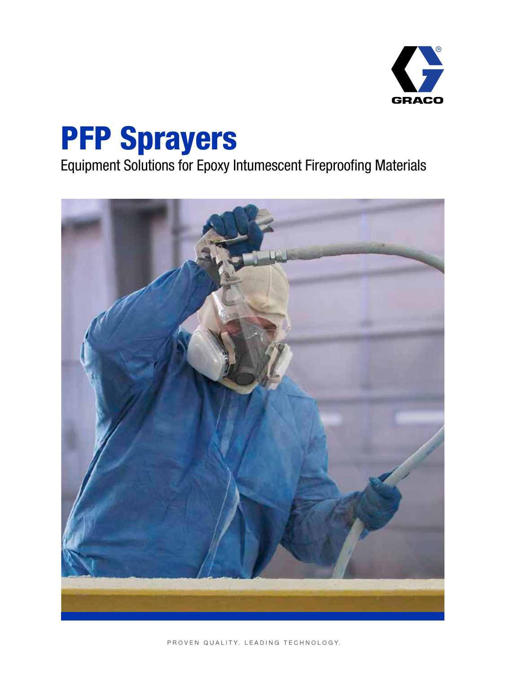

# PFP Sprayers

Equipment Solutions for Epoxy Intumescent Fireproofing Materials

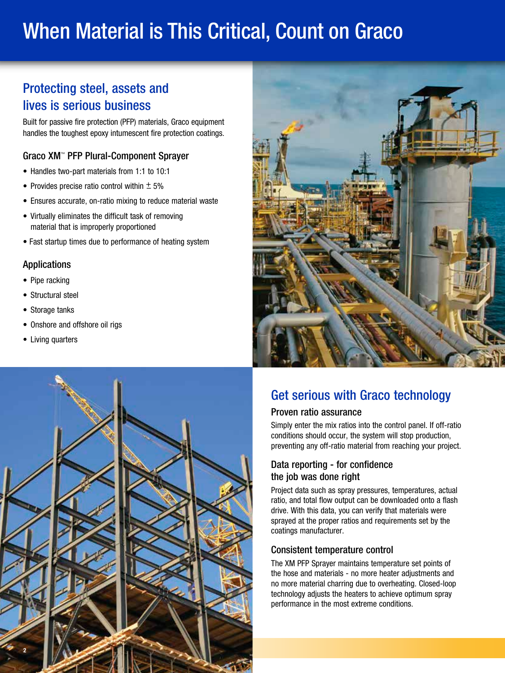# When Material is This Critical, Count on Graco

## Protecting steel, assets and lives is serious business

Built for passive fire protection (PFP) materials, Graco equipment handles the toughest epoxy intumescent fire protection coatings.

### Graco XM™ PFP Plural-Component Sprayer

- Handles two-part materials from 1:1 to 10:1
- Provides precise ratio control within  $\pm$  5%
- Ensures accurate, on-ratio mixing to reduce material waste
- Virtually eliminates the difficult task of removing material that is improperly proportioned
- Fast startup times due to performance of heating system

### Applications

- Pipe racking
- Structural steel
- Storage tanks
- Onshore and offshore oil rigs
- Living quarters



# Get serious with Graco technology

### Proven ratio assurance

Simply enter the mix ratios into the control panel. If off-ratio conditions should occur, the system will stop production, preventing any off-ratio material from reaching your project.

### Data reporting - for confidence the job was done right

Project data such as spray pressures, temperatures, actual ratio, and total flow output can be downloaded onto a flash drive. With this data, you can verify that materials were sprayed at the proper ratios and requirements set by the coatings manufacturer.

### Consistent temperature control

The XM PFP Sprayer maintains temperature set points of the hose and materials - no more heater adjustments and no more material charring due to overheating. Closed-loop technology adjusts the heaters to achieve optimum spray performance in the most extreme conditions.

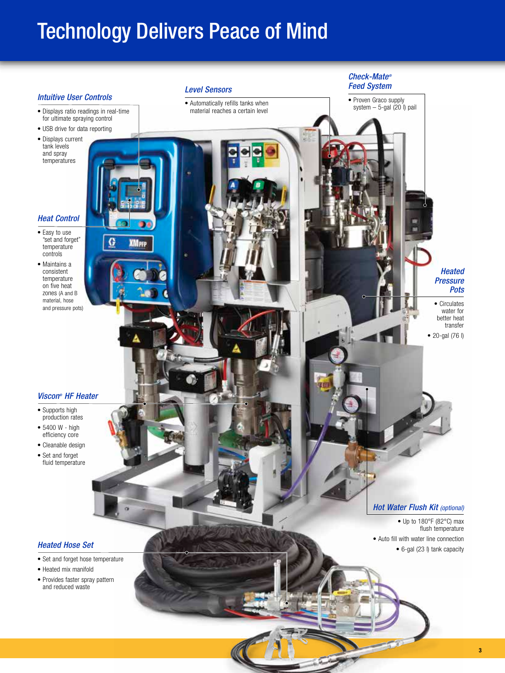# Technology Delivers Peace of Mind

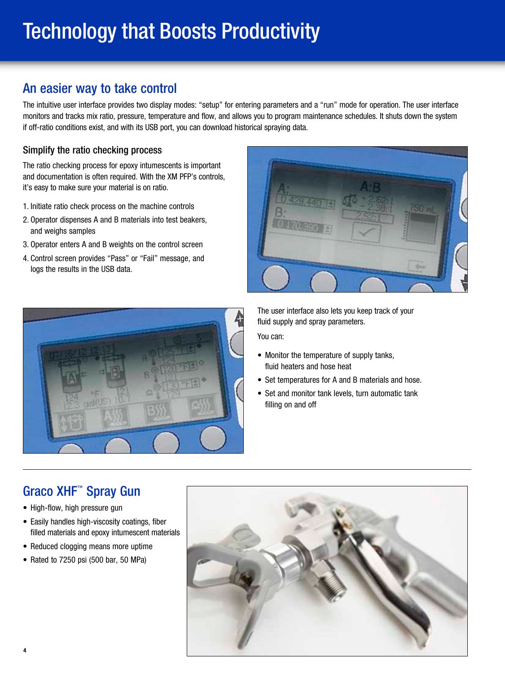# Technology that Boosts Productivity

## An easier way to take control

The intuitive user interface provides two display modes: "setup" for entering parameters and a "run" mode for operation. The user interface monitors and tracks mix ratio, pressure, temperature and flow, and allows you to program maintenance schedules. It shuts down the system if off-ratio conditions exist, and with its USB port, you can download historical spraying data.

### Simplify the ratio checking process

The ratio checking process for epoxy intumescents is important and documentation is often required. With the XM PFP's controls, it's easy to make sure your material is on ratio.

- 1. Initiate ratio check process on the machine controls
- 2. Operator dispenses A and B materials into test beakers, and weighs samples
- 3. Operator enters A and B weights on the control screen
- 4. Control screen provides "Pass" or "Fail" message, and logs the results in the USB data.





The user interface also lets you keep track of your fluid supply and spray parameters.

You can:

- Monitor the temperature of supply tanks, fluid heaters and hose heat
- Set temperatures for A and B materials and hose.
- Set and monitor tank levels, turn automatic tank filling on and off

## Graco XHF™ Spray Gun

- High-flow, high pressure gun
- Easily handles high-viscosity coatings, fiber filled materials and epoxy intumescent materials
- Reduced clogging means more uptime
- Rated to 7250 psi (500 bar, 50 MPa)

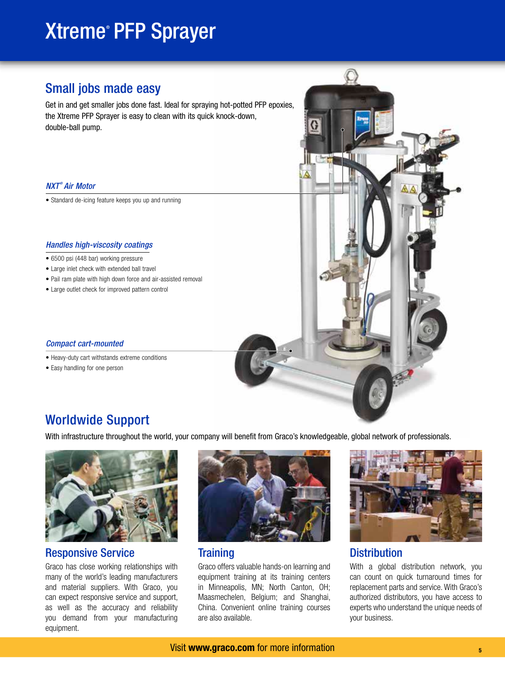# Xtreme® PFP Sprayer

## Small jobs made easy

Get in and get smaller jobs done fast. Ideal for spraying hot-potted PFP epoxies, the Xtreme PFP Sprayer is easy to clean with its quick knock-down, double-ball pump.

### *NXT ® Air Motor*

• Standard de-icing feature keeps you up and running

### *Handles high-viscosity coatings*

- 6500 psi (448 bar) working pressure
- Large inlet check with extended ball travel
- Pail ram plate with high down force and air-assisted removal
- Large outlet check for improved pattern control

### *Compact cart-mounted*

- Heavy-duty cart withstands extreme conditions
- Easy handling for one person



## Worldwide Support

With infrastructure throughout the world, your company will benefit from Graco's knowledgeable, global network of professionals.



### Responsive Service

Graco has close working relationships with many of the world's leading manufacturers and material suppliers. With Graco, you can expect responsive service and support, as well as the accuracy and reliability you demand from your manufacturing equipment.



### **Training**

Graco offers valuable hands-on learning and equipment training at its training centers in Minneapolis, MN; North Canton, OH; Maasmechelen, Belgium; and Shanghai, China. Convenient online training courses are also available.



### **Distribution**

With a global distribution network, you can count on quick turnaround times for replacement parts and service. With Graco's authorized distributors, you have access to experts who understand the unique needs of your business.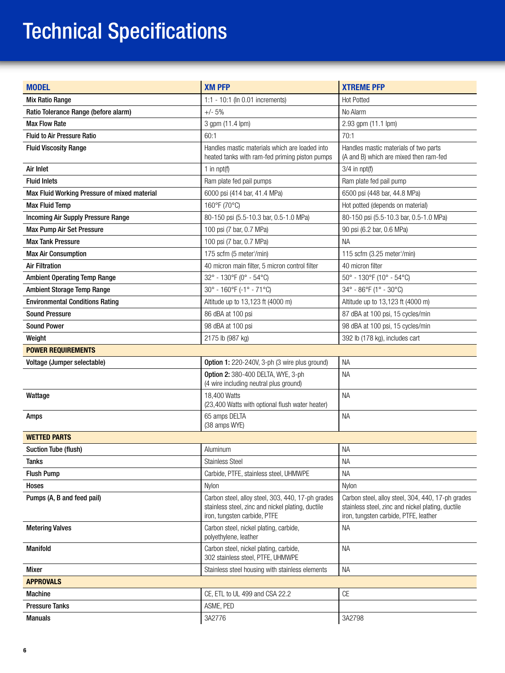# Technical Specifications

| <b>MODEL</b>                                 | <b>XM PFP</b>                                                                                                                          | <b>XTREME PFP</b>                                                                                                                               |
|----------------------------------------------|----------------------------------------------------------------------------------------------------------------------------------------|-------------------------------------------------------------------------------------------------------------------------------------------------|
| <b>Mix Ratio Range</b>                       | 1:1 - 10:1 (In 0.01 increments)                                                                                                        | <b>Hot Potted</b>                                                                                                                               |
| Ratio Tolerance Range (before alarm)         | $+/- 5%$                                                                                                                               | No Alarm                                                                                                                                        |
| <b>Max Flow Rate</b>                         | 3 gpm (11.4 lpm)                                                                                                                       | 2.93 gpm (11.1 lpm)                                                                                                                             |
| <b>Fluid to Air Pressure Ratio</b>           | 60:1                                                                                                                                   | 70:1                                                                                                                                            |
| <b>Fluid Viscosity Range</b>                 | Handles mastic materials which are loaded into<br>heated tanks with ram-fed priming piston pumps                                       | Handles mastic materials of two parts<br>(A and B) which are mixed then ram-fed                                                                 |
| Air Inlet                                    | 1 in $npt(f)$                                                                                                                          | $3/4$ in npt(f)                                                                                                                                 |
| <b>Fluid Inlets</b>                          | Ram plate fed pail pumps                                                                                                               | Ram plate fed pail pump                                                                                                                         |
| Max Fluid Working Pressure of mixed material | 6000 psi (414 bar, 41.4 MPa)                                                                                                           | 6500 psi (448 bar, 44.8 MPa)                                                                                                                    |
| <b>Max Fluid Temp</b>                        | 160°F (70°C)                                                                                                                           | Hot potted (depends on material)                                                                                                                |
| <b>Incoming Air Supply Pressure Range</b>    | 80-150 psi (5.5-10.3 bar, 0.5-1.0 MPa)                                                                                                 | 80-150 psi (5.5-10.3 bar, 0.5-1.0 MPa)                                                                                                          |
| Max Pump Air Set Pressure                    | 100 psi (7 bar, 0.7 MPa)                                                                                                               | 90 psi (6.2 bar, 0.6 MPa)                                                                                                                       |
| <b>Max Tank Pressure</b>                     | 100 psi (7 bar, 0.7 MPa)                                                                                                               | <b>NA</b>                                                                                                                                       |
| <b>Max Air Consumption</b>                   | 175 scfm (5 meter <sup>3</sup> /min)                                                                                                   | 115 scfm (3.25 meter <sup>3</sup> /min)                                                                                                         |
| <b>Air Filtration</b>                        | 40 micron main filter, 5 micron control filter                                                                                         | 40 micron filter                                                                                                                                |
| <b>Ambient Operating Temp Range</b>          | 32° - 130°F (0° - 54°C)                                                                                                                | $50^{\circ}$ - 130°F (10° - 54°C)                                                                                                               |
| <b>Ambient Storage Temp Range</b>            | 30° - 160°F (-1° - 71°C)                                                                                                               | 34° - 86°F (1° - 30°C)                                                                                                                          |
| <b>Environmental Conditions Rating</b>       | Altitude up to 13,123 ft (4000 m)                                                                                                      | Altitude up to 13,123 ft (4000 m)                                                                                                               |
| <b>Sound Pressure</b>                        | 86 dBA at 100 psi                                                                                                                      | 87 dBA at 100 psi, 15 cycles/min                                                                                                                |
| <b>Sound Power</b>                           | 98 dBA at 100 psi                                                                                                                      | 98 dBA at 100 psi, 15 cycles/min                                                                                                                |
| Weight                                       | 2175 lb (987 kg)                                                                                                                       | 392 lb (178 kg), includes cart                                                                                                                  |
| <b>POWER REQUIREMENTS</b>                    |                                                                                                                                        |                                                                                                                                                 |
| Voltage (Jumper selectable)                  | Option 1: 220-240V, 3-ph (3 wire plus ground)                                                                                          | <b>NA</b>                                                                                                                                       |
|                                              | Option 2: 380-400 DELTA, WYE, 3-ph<br>(4 wire including neutral plus ground)                                                           | <b>NA</b>                                                                                                                                       |
| Wattage                                      | 18,400 Watts<br>(23,400 Watts with optional flush water heater)                                                                        | <b>NA</b>                                                                                                                                       |
| Amps                                         | 65 amps DELTA<br>(38 amps WYE)                                                                                                         | <b>NA</b>                                                                                                                                       |
| <b>WETTED PARTS</b>                          |                                                                                                                                        |                                                                                                                                                 |
| <b>Suction Tube (flush)</b>                  | Aluminum                                                                                                                               | <b>NA</b>                                                                                                                                       |
| <b>Tanks</b>                                 | <b>Stainless Steel</b>                                                                                                                 | NА                                                                                                                                              |
| <b>Flush Pump</b>                            | Carbide, PTFE, stainless steel, UHMWPE                                                                                                 | <b>NA</b>                                                                                                                                       |
| Hoses                                        | Nylon                                                                                                                                  | Nylon                                                                                                                                           |
| Pumps (A, B and feed pail)                   | Carbon steel, alloy steel, 303, 440, 17-ph grades<br>stainless steel, zinc and nickel plating, ductile<br>iron, tungsten carbide, PTFE | Carbon steel, alloy steel, 304, 440, 17-ph grades<br>stainless steel, zinc and nickel plating, ductile<br>iron, tungsten carbide, PTFE, leather |
| <b>Metering Valves</b>                       | Carbon steel, nickel plating, carbide,<br>polyethylene, leather                                                                        | <b>NA</b>                                                                                                                                       |
| <b>Manifold</b>                              | Carbon steel, nickel plating, carbide,<br>302 stainless steel, PTFE, UHMWPE                                                            | <b>NA</b>                                                                                                                                       |
| <b>Mixer</b>                                 | Stainless steel housing with stainless elements                                                                                        | <b>NA</b>                                                                                                                                       |
| <b>APPROVALS</b>                             |                                                                                                                                        |                                                                                                                                                 |
| <b>Machine</b>                               | CE, ETL to UL 499 and CSA 22.2                                                                                                         | CE                                                                                                                                              |
| <b>Pressure Tanks</b>                        | ASME, PED                                                                                                                              |                                                                                                                                                 |
| <b>Manuals</b>                               | 3A2776                                                                                                                                 | 3A2798                                                                                                                                          |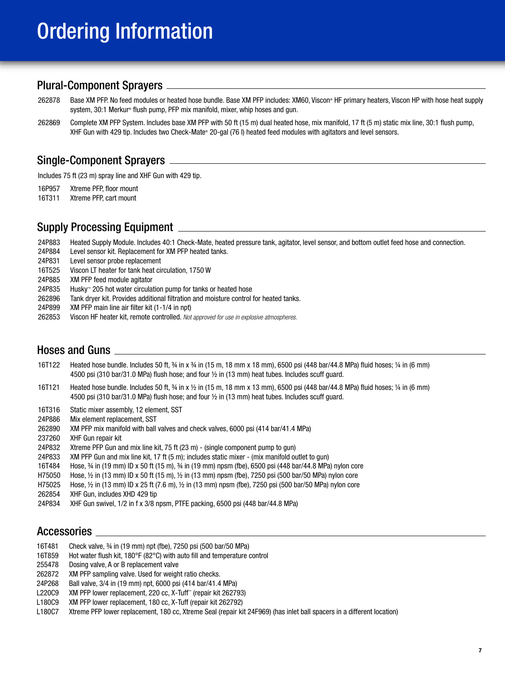# Ordering Information

### Plural-Component Sprayers

- 262878 Base XM PFP. No feed modules or heated hose bundle. Base XM PFP includes: XM60, Viscon® HF primary heaters, Viscon HP with hose heat supply system, 30:1 Merkur® flush pump, PFP mix manifold, mixer, whip hoses and qun.
- 262869 Complete XM PFP System. Includes base XM PFP with 50 ft (15 m) dual heated hose, mix manifold, 17 ft (5 m) static mix line, 30:1 flush pump, XHF Gun with 429 tip. Includes two Check-Mate® 20-gal (76 l) heated feed modules with agitators and level sensors.

### Single-Component Sprayers

Includes 75 ft (23 m) spray line and XHF Gun with 429 tip.

16P957 Xtreme PFP, floor mount

16T311 Xtreme PFP, cart mount

### Supply Processing Equipment

- 24P883 Heated Supply Module. Includes 40:1 Check-Mate, heated pressure tank, agitator, level sensor, and bottom outlet feed hose and connection.
- 24P884 Level sensor kit. Replacement for XM PFP heated tanks.
- 24P831 Level sensor probe replacement
- 16T525 Viscon LT heater for tank heat circulation, 1750 W
- 24P885 XM PFP feed module agitator
- 24P835 Husky™ 205 hot water circulation pump for tanks or heated hose
- 262896 Tank dryer kit. Provides additional filtration and moisture control for heated tanks.
- 24P899 XM PFP main line air filter kit (1-1/4 in npt)
- 262853 Viscon HF heater kit, remote controlled. *Not approved for use in explosive atmospheres.*

### Hoses and Guns

- 16T122 Heated hose bundle. Includes 50 ft, ¾ in x ¾ in (15 m, 18 mm x 18 mm), 6500 psi (448 bar/44.8 MPa) fluid hoses; ¼ in (6 mm) 4500 psi (310 bar/31.0 MPa) flush hose; and four ½ in (13 mm) heat tubes. Includes scuff guard.
- 16T121 Heated hose bundle. Includes 50 ft, ¾ in x ½ in (15 m, 18 mm x 13 mm), 6500 psi (448 bar/44.8 MPa) fluid hoses; ¼ in (6 mm) 4500 psi (310 bar/31.0 MPa) flush hose; and four ½ in (13 mm) heat tubes. Includes scuff guard.
- 16T316 Static mixer assembly, 12 element, SST
- 24P886 Mix element replacement, SST
- 262890 XM PFP mix manifold with ball valves and check valves, 6000 psi (414 bar/41.4 MPa)
- 237260 XHF Gun repair kit
- 24P832 Xtreme PFP Gun and mix line kit, 75 ft (23 m) (single component pump to gun)
- 24P833 XM PFP Gun and mix line kit, 17 ft (5 m); includes static mixer (mix manifold outlet to gun)
- 16T484 Hose, ¾ in (19 mm) ID x 50 ft (15 m), ¾ in (19 mm) npsm (fbe), 6500 psi (448 bar/44.8 MPa) nylon core
- H75050 Hose, ½ in (13 mm) ID x 50 ft (15 m), ½ in (13 mm) npsm (fbe), 7250 psi (500 bar/50 MPa) nylon core
- H75025 Hose, ½ in (13 mm) ID x 25 ft (7.6 m), ½ in (13 mm) npsm (fbe), 7250 psi (500 bar/50 MPa) nylon core
- 262854 XHF Gun, includes XHD 429 tip
- 24P834 XHF Gun swivel, 1/2 in f x 3/8 npsm, PTFE packing, 6500 psi (448 bar/44.8 MPa)

### Accessories

- 16T481 Check valve, ¾ in (19 mm) npt (fbe), 7250 psi (500 bar/50 MPa)
- 16T859 Hot water flush kit, 180°F (82°C) with auto fill and temperature control
- 255478 Dosing valve, A or B replacement valve
- 262872 XM PFP sampling valve. Used for weight ratio checks.
- 24P268 Ball valve, 3/4 in (19 mm) npt, 6000 psi (414 bar/41.4 MPa)
- L220C9 XM PFP lower replacement, 220 cc, X-Tuff™ (repair kit 262793)
- L180C9 XM PFP lower replacement, 180 cc, X-Tuff (repair kit 262792)
- L180C7 Xtreme PFP lower replacement, 180 cc, Xtreme Seal (repair kit 24F969) (has inlet ball spacers in a different location)